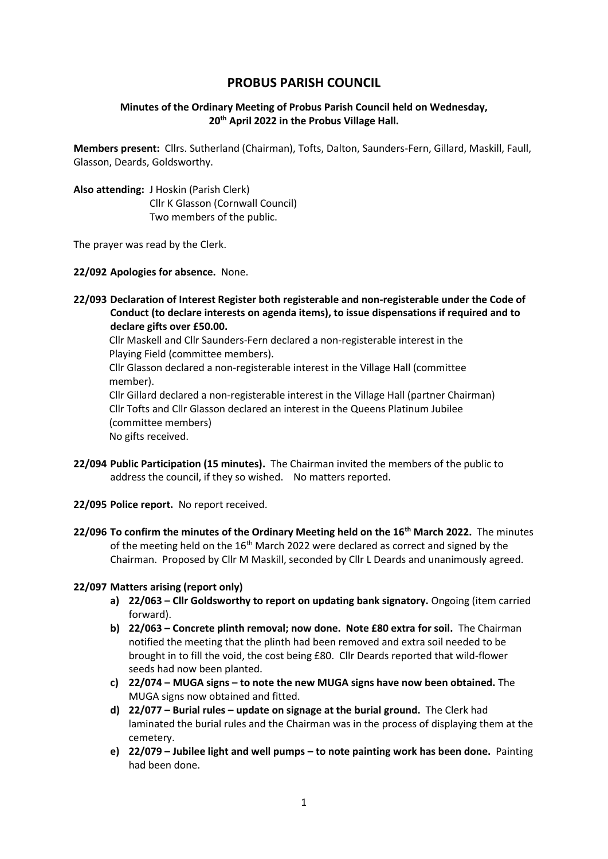# **PROBUS PARISH COUNCIL**

### **Minutes of the Ordinary Meeting of Probus Parish Council held on Wednesday, 20th April 2022 in the Probus Village Hall.**

**Members present:** Cllrs. Sutherland (Chairman), Tofts, Dalton, Saunders-Fern, Gillard, Maskill, Faull, Glasson, Deards, Goldsworthy.

**Also attending:** J Hoskin (Parish Clerk) Cllr K Glasson (Cornwall Council) Two members of the public.

The prayer was read by the Clerk.

**22/092 Apologies for absence.** None.

**22/093 Declaration of Interest Register both registerable and non-registerable under the Code of Conduct (to declare interests on agenda items), to issue dispensations if required and to declare gifts over £50.00.** 

Cllr Maskell and Cllr Saunders-Fern declared a non-registerable interest in the Playing Field (committee members).

 Cllr Glasson declared a non-registerable interest in the Village Hall (committee member).

 Cllr Gillard declared a non-registerable interest in the Village Hall (partner Chairman) Cllr Tofts and Cllr Glasson declared an interest in the Queens Platinum Jubilee (committee members) No gifts received.

- **22/094 Public Participation (15 minutes).** The Chairman invited the members of the public to address the council, if they so wished. No matters reported.
- **22/095 Police report.** No report received.
- **22/096 To confirm the minutes of the Ordinary Meeting held on the 16th March 2022.** The minutes of the meeting held on the 16<sup>th</sup> March 2022 were declared as correct and signed by the Chairman. Proposed by Cllr M Maskill, seconded by Cllr L Deards and unanimously agreed.

#### **22/097 Matters arising (report only)**

- **a) 22/063 – Cllr Goldsworthy to report on updating bank signatory.** Ongoing (item carried forward).
- **b) 22/063 – Concrete plinth removal; now done. Note £80 extra for soil.** The Chairman notified the meeting that the plinth had been removed and extra soil needed to be brought in to fill the void, the cost being £80. Cllr Deards reported that wild-flower seeds had now been planted.
- **c) 22/074 – MUGA signs – to note the new MUGA signs have now been obtained.** The MUGA signs now obtained and fitted.
- **d) 22/077 – Burial rules – update on signage at the burial ground.** The Clerk had laminated the burial rules and the Chairman was in the process of displaying them at the cemetery.
- **e) 22/079 – Jubilee light and well pumps – to note painting work has been done.** Painting had been done.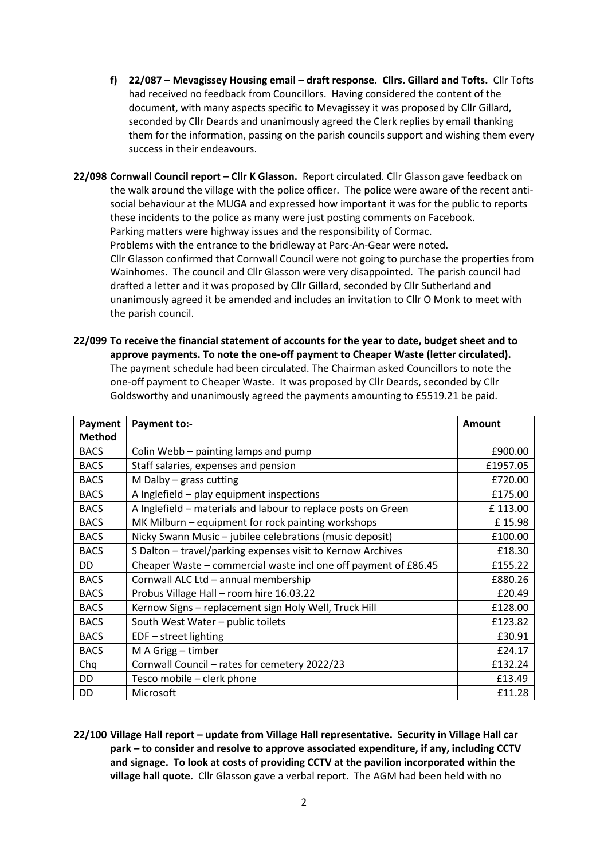**f) 22/087 – Mevagissey Housing email – draft response. Cllrs. Gillard and Tofts.** Cllr Tofts had received no feedback from Councillors. Having considered the content of the document, with many aspects specific to Mevagissey it was proposed by Cllr Gillard, seconded by Cllr Deards and unanimously agreed the Clerk replies by email thanking them for the information, passing on the parish councils support and wishing them every success in their endeavours.

**22/098 Cornwall Council report – Cllr K Glasson.** Report circulated. Cllr Glasson gave feedback on the walk around the village with the police officer. The police were aware of the recent antisocial behaviour at the MUGA and expressed how important it was for the public to reports these incidents to the police as many were just posting comments on Facebook. Parking matters were highway issues and the responsibility of Cormac. Problems with the entrance to the bridleway at Parc-An-Gear were noted. Cllr Glasson confirmed that Cornwall Council were not going to purchase the properties from Wainhomes. The council and Cllr Glasson were very disappointed. The parish council had drafted a letter and it was proposed by Cllr Gillard, seconded by Cllr Sutherland and unanimously agreed it be amended and includes an invitation to Cllr O Monk to meet with the parish council.

**22/099 To receive the financial statement of accounts for the year to date, budget sheet and to approve payments. To note the one-off payment to Cheaper Waste (letter circulated).** The payment schedule had been circulated. The Chairman asked Councillors to note the one-off payment to Cheaper Waste. It was proposed by Cllr Deards, seconded by Cllr Goldsworthy and unanimously agreed the payments amounting to £5519.21 be paid.

| Payment       | <b>Payment to:-</b>                                             | <b>Amount</b> |
|---------------|-----------------------------------------------------------------|---------------|
| <b>Method</b> |                                                                 |               |
| <b>BACS</b>   | Colin Webb - painting lamps and pump                            | £900.00       |
| <b>BACS</b>   | Staff salaries, expenses and pension                            | £1957.05      |
| <b>BACS</b>   | M Dalby $-$ grass cutting                                       | £720.00       |
| <b>BACS</b>   | A Inglefield - play equipment inspections                       | £175.00       |
| <b>BACS</b>   | A Inglefield - materials and labour to replace posts on Green   | £113.00       |
| <b>BACS</b>   | MK Milburn - equipment for rock painting workshops              | £15.98        |
| <b>BACS</b>   | Nicky Swann Music - jubilee celebrations (music deposit)        | £100.00       |
| <b>BACS</b>   | S Dalton - travel/parking expenses visit to Kernow Archives     | £18.30        |
| DD            | Cheaper Waste – commercial waste incl one off payment of £86.45 | £155.22       |
| <b>BACS</b>   | Cornwall ALC Ltd - annual membership                            | £880.26       |
| <b>BACS</b>   | Probus Village Hall - room hire 16.03.22                        | £20.49        |
| <b>BACS</b>   | Kernow Signs - replacement sign Holy Well, Truck Hill           | £128.00       |
| <b>BACS</b>   | South West Water - public toilets                               | £123.82       |
| <b>BACS</b>   | $EDF - street$ lighting                                         | £30.91        |
| <b>BACS</b>   | M A Grigg - timber                                              | £24.17        |
| Chq           | Cornwall Council - rates for cemetery 2022/23                   | £132.24       |
| DD            | Tesco mobile - clerk phone                                      | £13.49        |
| DD            | Microsoft                                                       | £11.28        |

**22/100 Village Hall report – update from Village Hall representative. Security in Village Hall car park – to consider and resolve to approve associated expenditure, if any, including CCTV and signage. To look at costs of providing CCTV at the pavilion incorporated within the village hall quote.** Cllr Glasson gave a verbal report. The AGM had been held with no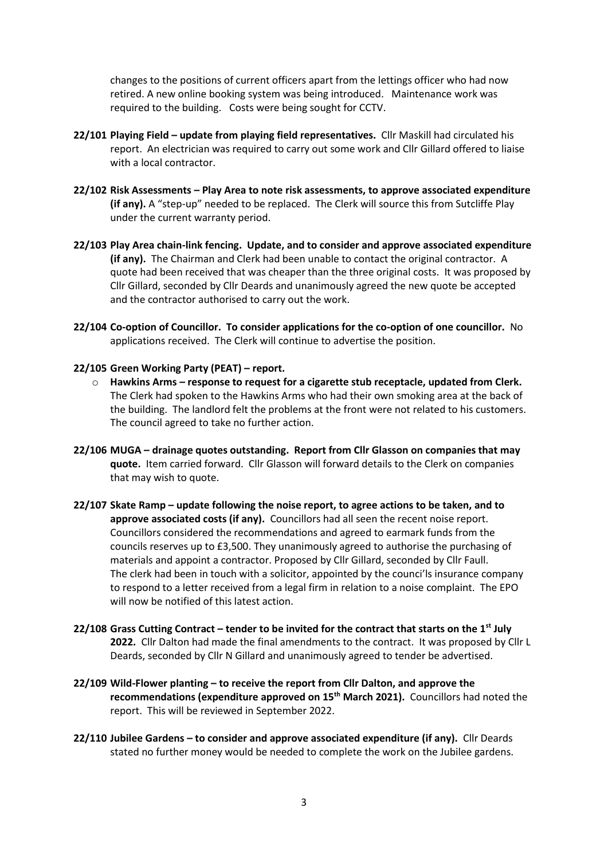changes to the positions of current officers apart from the lettings officer who had now retired. A new online booking system was being introduced. Maintenance work was required to the building. Costs were being sought for CCTV.

- **22/101 Playing Field – update from playing field representatives.** Cllr Maskill had circulated his report. An electrician was required to carry out some work and Cllr Gillard offered to liaise with a local contractor.
- **22/102 Risk Assessments – Play Area to note risk assessments, to approve associated expenditure (if any).** A "step-up" needed to be replaced. The Clerk will source this from Sutcliffe Play under the current warranty period.
- **22/103 Play Area chain-link fencing. Update, and to consider and approve associated expenditure (if any).** The Chairman and Clerk had been unable to contact the original contractor. A quote had been received that was cheaper than the three original costs. It was proposed by Cllr Gillard, seconded by Cllr Deards and unanimously agreed the new quote be accepted and the contractor authorised to carry out the work.
- **22/104 Co-option of Councillor. To consider applications for the co-option of one councillor.** No applications received. The Clerk will continue to advertise the position.
- **22/105 Green Working Party (PEAT) – report.**
	- o **Hawkins Arms – response to request for a cigarette stub receptacle, updated from Clerk.**  The Clerk had spoken to the Hawkins Arms who had their own smoking area at the back of the building. The landlord felt the problems at the front were not related to his customers. The council agreed to take no further action.
- **22/106 MUGA – drainage quotes outstanding. Report from Cllr Glasson on companies that may quote.** Item carried forward. Cllr Glasson will forward details to the Clerk on companies that may wish to quote.
- **22/107 Skate Ramp – update following the noise report, to agree actions to be taken, and to approve associated costs (if any).** Councillors had all seen the recent noise report. Councillors considered the recommendations and agreed to earmark funds from the councils reserves up to £3,500. They unanimously agreed to authorise the purchasing of materials and appoint a contractor. Proposed by Cllr Gillard, seconded by Cllr Faull. The clerk had been in touch with a solicitor, appointed by the counci'ls insurance company to respond to a letter received from a legal firm in relation to a noise complaint. The EPO will now be notified of this latest action.
- **22/108 Grass Cutting Contract – tender to be invited for the contract that starts on the 1st July 2022.** Cllr Dalton had made the final amendments to the contract. It was proposed by Cllr L Deards, seconded by Cllr N Gillard and unanimously agreed to tender be advertised.
- **22/109 Wild-Flower planting – to receive the report from Cllr Dalton, and approve the recommendations (expenditure approved on 15th March 2021).** Councillors had noted the report. This will be reviewed in September 2022.
- **22/110 Jubilee Gardens – to consider and approve associated expenditure (if any).** Cllr Deards stated no further money would be needed to complete the work on the Jubilee gardens.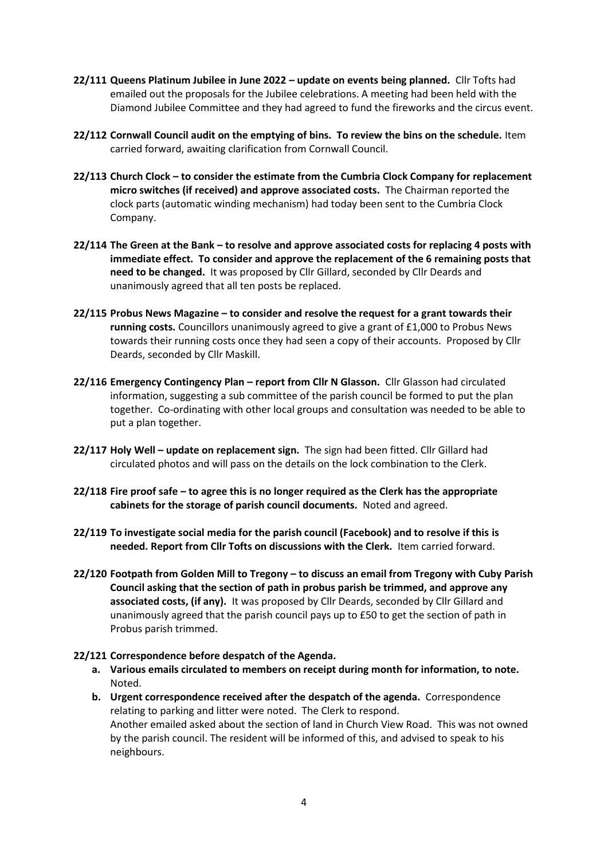- **22/111 Queens Platinum Jubilee in June 2022 – update on events being planned.** Cllr Tofts had emailed out the proposals for the Jubilee celebrations. A meeting had been held with the Diamond Jubilee Committee and they had agreed to fund the fireworks and the circus event.
- **22/112 Cornwall Council audit on the emptying of bins. To review the bins on the schedule.** Item carried forward, awaiting clarification from Cornwall Council.
- **22/113 Church Clock – to consider the estimate from the Cumbria Clock Company for replacement micro switches (if received) and approve associated costs.** The Chairman reported the clock parts (automatic winding mechanism) had today been sent to the Cumbria Clock Company.
- **22/114 The Green at the Bank – to resolve and approve associated costs for replacing 4 posts with immediate effect. To consider and approve the replacement of the 6 remaining posts that need to be changed.** It was proposed by Cllr Gillard, seconded by Cllr Deards and unanimously agreed that all ten posts be replaced.
- **22/115 Probus News Magazine – to consider and resolve the request for a grant towards their running costs.** Councillors unanimously agreed to give a grant of £1,000 to Probus News towards their running costs once they had seen a copy of their accounts. Proposed by Cllr Deards, seconded by Cllr Maskill.
- **22/116 Emergency Contingency Plan – report from Cllr N Glasson.** Cllr Glasson had circulated information, suggesting a sub committee of the parish council be formed to put the plan together. Co-ordinating with other local groups and consultation was needed to be able to put a plan together.
- **22/117 Holy Well – update on replacement sign.** The sign had been fitted. Cllr Gillard had circulated photos and will pass on the details on the lock combination to the Clerk.
- **22/118 Fire proof safe – to agree this is no longer required as the Clerk has the appropriate cabinets for the storage of parish council documents.** Noted and agreed.
- **22/119 To investigate social media for the parish council (Facebook) and to resolve if this is needed. Report from Cllr Tofts on discussions with the Clerk.** Item carried forward.
- **22/120 Footpath from Golden Mill to Tregony – to discuss an email from Tregony with Cuby Parish Council asking that the section of path in probus parish be trimmed, and approve any associated costs, (if any).** It was proposed by Cllr Deards, seconded by Cllr Gillard and unanimously agreed that the parish council pays up to £50 to get the section of path in Probus parish trimmed.

#### **22/121 Correspondence before despatch of the Agenda.**

- **a. Various emails circulated to members on receipt during month for information, to note.** Noted.
- **b. Urgent correspondence received after the despatch of the agenda.** Correspondence relating to parking and litter were noted. The Clerk to respond. Another emailed asked about the section of land in Church View Road. This was not owned by the parish council. The resident will be informed of this, and advised to speak to his neighbours.